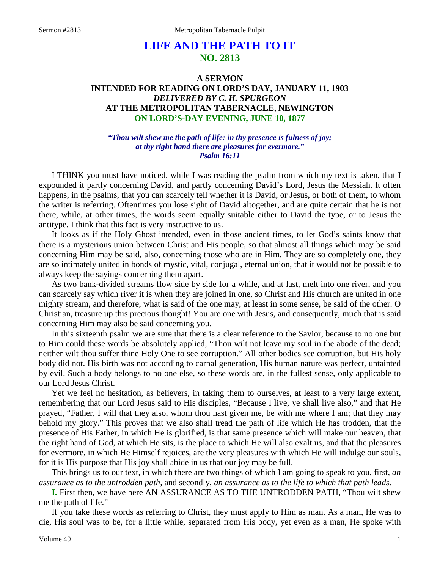# **LIFE AND THE PATH TO IT NO. 2813**

## **A SERMON INTENDED FOR READING ON LORD'S DAY, JANUARY 11, 1903** *DELIVERED BY C. H. SPURGEON* **AT THE METROPOLITAN TABERNACLE, NEWINGTON ON LORD'S-DAY EVENING, JUNE 10, 1877**

### *"Thou wilt shew me the path of life: in thy presence is fulness of joy; at thy right hand there are pleasures for evermore." Psalm 16:11*

I THINK you must have noticed, while I was reading the psalm from which my text is taken, that I expounded it partly concerning David, and partly concerning David's Lord, Jesus the Messiah. It often happens, in the psalms, that you can scarcely tell whether it is David, or Jesus, or both of them, to whom the writer is referring. Oftentimes you lose sight of David altogether, and are quite certain that he is not there, while, at other times, the words seem equally suitable either to David the type, or to Jesus the antitype. I think that this fact is very instructive to us.

It looks as if the Holy Ghost intended, even in those ancient times, to let God's saints know that there is a mysterious union between Christ and His people, so that almost all things which may be said concerning Him may be said, also, concerning those who are in Him. They are so completely one, they are so intimately united in bonds of mystic, vital, conjugal, eternal union, that it would not be possible to always keep the sayings concerning them apart.

As two bank-divided streams flow side by side for a while, and at last, melt into one river, and you can scarcely say which river it is when they are joined in one, so Christ and His church are united in one mighty stream, and therefore, what is said of the one may, at least in some sense, be said of the other. O Christian, treasure up this precious thought! You are one with Jesus, and consequently, much that is said concerning Him may also be said concerning you.

In this sixteenth psalm we are sure that there is a clear reference to the Savior, because to no one but to Him could these words be absolutely applied, "Thou wilt not leave my soul in the abode of the dead; neither wilt thou suffer thine Holy One to see corruption." All other bodies see corruption, but His holy body did not. His birth was not according to carnal generation, His human nature was perfect, untainted by evil. Such a body belongs to no one else, so these words are, in the fullest sense, only applicable to our Lord Jesus Christ.

Yet we feel no hesitation, as believers, in taking them to ourselves, at least to a very large extent, remembering that our Lord Jesus said to His disciples, "Because I live, ye shall live also," and that He prayed, "Father, I will that they also, whom thou hast given me, be with me where I am; that they may behold my glory." This proves that we also shall tread the path of life which He has trodden, that the presence of His Father, in which He is glorified, is that same presence which will make our heaven, that the right hand of God, at which He sits, is the place to which He will also exalt us, and that the pleasures for evermore, in which He Himself rejoices, are the very pleasures with which He will indulge our souls, for it is His purpose that His joy shall abide in us that our joy may be full.

This brings us to our text, in which there are two things of which I am going to speak to you, first, *an assurance as to the untrodden path,* and secondly, *an assurance as to the life to which that path leads.* 

**I.** First then, we have here AN ASSURANCE AS TO THE UNTRODDEN PATH, "Thou wilt shew me the path of life."

If you take these words as referring to Christ, they must apply to Him as man. As a man, He was to die, His soul was to be, for a little while, separated from His body, yet even as a man, He spoke with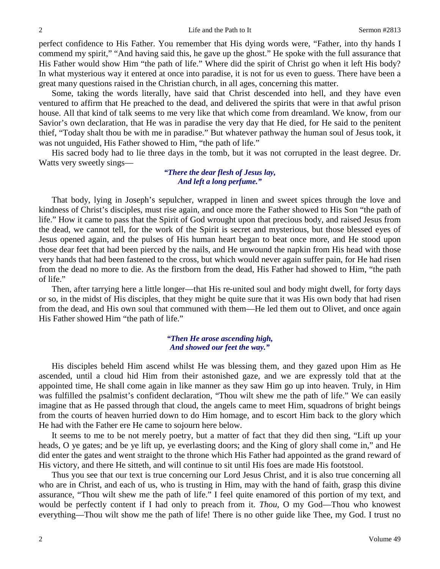perfect confidence to His Father. You remember that His dying words were, "Father, into thy hands I commend my spirit," "And having said this, he gave up the ghost." He spoke with the full assurance that His Father would show Him "the path of life." Where did the spirit of Christ go when it left His body? In what mysterious way it entered at once into paradise, it is not for us even to guess. There have been a great many questions raised in the Christian church, in all ages, concerning this matter.

Some, taking the words literally, have said that Christ descended into hell, and they have even ventured to affirm that He preached to the dead, and delivered the spirits that were in that awful prison house. All that kind of talk seems to me very like that which come from dreamland. We know, from our Savior's own declaration, that He was in paradise the very day that He died, for He said to the penitent thief, "Today shalt thou be with me in paradise." But whatever pathway the human soul of Jesus took, it was not unguided, His Father showed to Him, "the path of life."

His sacred body had to lie three days in the tomb, but it was not corrupted in the least degree. Dr. Watts very sweetly sings—

### *"There the dear flesh of Jesus lay, And left a long perfume."*

That body, lying in Joseph's sepulcher, wrapped in linen and sweet spices through the love and kindness of Christ's disciples, must rise again, and once more the Father showed to His Son "the path of life." How it came to pass that the Spirit of God wrought upon that precious body, and raised Jesus from the dead, we cannot tell, for the work of the Spirit is secret and mysterious, but those blessed eyes of Jesus opened again, and the pulses of His human heart began to beat once more, and He stood upon those dear feet that had been pierced by the nails, and He unwound the napkin from His head with those very hands that had been fastened to the cross, but which would never again suffer pain, for He had risen from the dead no more to die. As the firstborn from the dead, His Father had showed to Him, "the path of life."

Then, after tarrying here a little longer—that His re-united soul and body might dwell, for forty days or so, in the midst of His disciples, that they might be quite sure that it was His own body that had risen from the dead, and His own soul that communed with them—He led them out to Olivet, and once again His Father showed Him "the path of life."

### *"Then He arose ascending high, And showed our feet the way."*

His disciples beheld Him ascend whilst He was blessing them, and they gazed upon Him as He ascended, until a cloud hid Him from their astonished gaze, and we are expressly told that at the appointed time, He shall come again in like manner as they saw Him go up into heaven. Truly, in Him was fulfilled the psalmist's confident declaration, "Thou wilt shew me the path of life." We can easily imagine that as He passed through that cloud, the angels came to meet Him, squadrons of bright beings from the courts of heaven hurried down to do Him homage, and to escort Him back to the glory which He had with the Father ere He came to sojourn here below.

It seems to me to be not merely poetry, but a matter of fact that they did then sing, "Lift up your heads, O ye gates; and be ye lift up, ye everlasting doors; and the King of glory shall come in," and He did enter the gates and went straight to the throne which His Father had appointed as the grand reward of His victory, and there He sitteth, and will continue to sit until His foes are made His footstool.

Thus you see that our text is true concerning our Lord Jesus Christ, and it is also true concerning all who are in Christ, and each of us, who is trusting in Him, may with the hand of faith, grasp this divine assurance, "Thou wilt shew me the path of life." I feel quite enamored of this portion of my text, and would be perfectly content if I had only to preach from it. *Thou,* O my God—Thou who knowest everything—Thou wilt show me the path of life! There is no other guide like Thee, my God. I trust no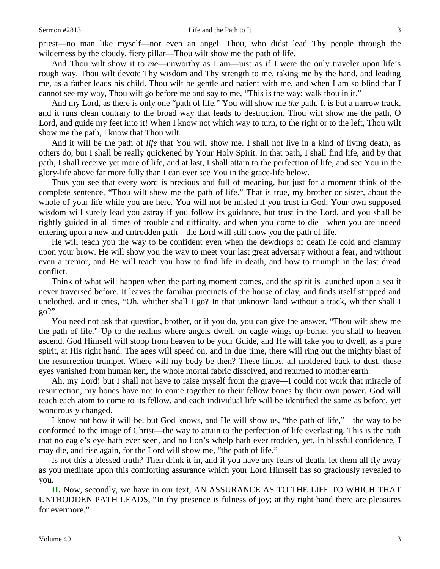priest—no man like myself—nor even an angel. Thou, who didst lead Thy people through the wilderness by the cloudy, fiery pillar—Thou wilt show me the path of life.

And Thou wilt show it to *me*—unworthy as I am—just as if I were the only traveler upon life's rough way. Thou wilt devote Thy wisdom and Thy strength to me, taking me by the hand, and leading me, as a father leads his child. Thou wilt be gentle and patient with me, and when I am so blind that I cannot see my way, Thou wilt go before me and say to me, "This is the way; walk thou in it."

And my Lord, as there is only one "path of life," You will show me *the* path. It is but a narrow track, and it runs clean contrary to the broad way that leads to destruction. Thou wilt show me the path, O Lord, and guide my feet into it! When I know not which way to turn, to the right or to the left, Thou wilt show me the path, I know that Thou wilt.

And it will be the path of *life* that You will show me. I shall not live in a kind of living death, as others do, but I shall be really quickened by Your Holy Spirit. In that path, I shall find life, and by that path, I shall receive yet more of life, and at last, I shall attain to the perfection of life, and see You in the glory-life above far more fully than I can ever see You in the grace-life below.

Thus you see that every word is precious and full of meaning, but just for a moment think of the complete sentence, "Thou wilt shew me the path of life." That is true, my brother or sister, about the whole of your life while you are here. You will not be misled if you trust in God, Your own supposed wisdom will surely lead you astray if you follow its guidance, but trust in the Lord, and you shall be rightly guided in all times of trouble and difficulty, and when you come to die—when you are indeed entering upon a new and untrodden path—the Lord will still show you the path of life.

He will teach you the way to be confident even when the dewdrops of death lie cold and clammy upon your brow. He will show you the way to meet your last great adversary without a fear, and without even a tremor, and He will teach you how to find life in death, and how to triumph in the last dread conflict.

Think of what will happen when the parting moment comes, and the spirit is launched upon a sea it never traversed before. It leaves the familiar precincts of the house of clay, and finds itself stripped and unclothed, and it cries, "Oh, whither shall I go? In that unknown land without a track, whither shall I  $g_0$ ?"

You need not ask that question, brother, or if you do, you can give the answer, "Thou wilt shew me the path of life." Up to the realms where angels dwell, on eagle wings up-borne, you shall to heaven ascend. God Himself will stoop from heaven to be your Guide, and He will take you to dwell, as a pure spirit, at His right hand. The ages will speed on, and in due time, there will ring out the mighty blast of the resurrection trumpet. Where will my body be then? These limbs, all moldered back to dust, these eyes vanished from human ken, the whole mortal fabric dissolved, and returned to mother earth.

Ah, my Lord! but I shall not have to raise myself from the grave—I could not work that miracle of resurrection, my bones have not to come together to their fellow bones by their own power. God will teach each atom to come to its fellow, and each individual life will be identified the same as before, yet wondrously changed.

I know not how it will be, but God knows, and He will show us, "the path of life,"—the way to be conformed to the image of Christ—the way to attain to the perfection of life everlasting. This is the path that no eagle's eye hath ever seen, and no lion's whelp hath ever trodden, yet, in blissful confidence, I may die, and rise again, for the Lord will show me, "the path of life."

Is not this a blessed truth? Then drink it in, and if you have any fears of death, let them all fly away as you meditate upon this comforting assurance which your Lord Himself has so graciously revealed to you.

**II.** Now, secondly, we have in our text, AN ASSURANCE AS TO THE LIFE TO WHICH THAT UNTRODDEN PATH LEADS, "In thy presence is fulness of joy; at thy right hand there are pleasures for evermore."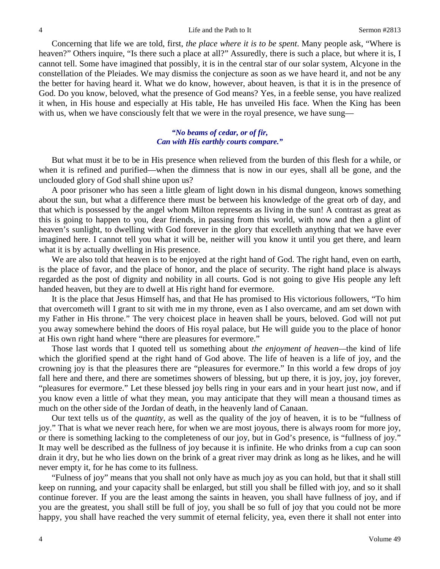Concerning that life we are told, first, *the place where it is to be spent*. Many people ask, "Where is heaven?" Others inquire, "Is there such a place at all?" Assuredly, there is such a place, but where it is, I cannot tell. Some have imagined that possibly, it is in the central star of our solar system, Alcyone in the constellation of the Pleiades. We may dismiss the conjecture as soon as we have heard it, and not be any the better for having heard it. What we do know, however, about heaven, is that it is in the presence of God. Do you know, beloved, what the presence of God means? Yes, in a feeble sense, you have realized it when, in His house and especially at His table, He has unveiled His face. When the King has been with us, when we have consciously felt that we were in the royal presence, we have sung—

### *"No beams of cedar, or of fir, Can with His earthly courts compare."*

But what must it be to be in His presence when relieved from the burden of this flesh for a while, or when it is refined and purified—when the dimness that is now in our eyes, shall all be gone, and the unclouded glory of God shall shine upon us?

A poor prisoner who has seen a little gleam of light down in his dismal dungeon, knows something about the sun, but what a difference there must be between his knowledge of the great orb of day, and that which is possessed by the angel whom Milton represents as living in the sun! A contrast as great as this is going to happen to you, dear friends, in passing from this world, with now and then a glint of heaven's sunlight, to dwelling with God forever in the glory that excelleth anything that we have ever imagined here. I cannot tell you what it will be, neither will you know it until you get there, and learn what it is by actually dwelling in His presence.

We are also told that heaven is to be enjoyed at the right hand of God. The right hand, even on earth, is the place of favor, and the place of honor, and the place of security. The right hand place is always regarded as the post of dignity and nobility in all courts. God is not going to give His people any left handed heaven, but they are to dwell at His right hand for evermore.

It is the place that Jesus Himself has, and that He has promised to His victorious followers, "To him that overcometh will I grant to sit with me in my throne, even as I also overcame, and am set down with my Father in His throne." The very choicest place in heaven shall be yours, beloved. God will not put you away somewhere behind the doors of His royal palace, but He will guide you to the place of honor at His own right hand where "there are pleasures for evermore."

Those last words that I quoted tell us something about *the enjoyment of heaven—*the kind of life which the glorified spend at the right hand of God above. The life of heaven is a life of joy, and the crowning joy is that the pleasures there are "pleasures for evermore." In this world a few drops of joy fall here and there, and there are sometimes showers of blessing, but up there, it is joy, joy, joy forever, "pleasures for evermore." Let these blessed joy bells ring in your ears and in your heart just now, and if you know even a little of what they mean, you may anticipate that they will mean a thousand times as much on the other side of the Jordan of death, in the heavenly land of Canaan.

Our text tells us of the *quantity,* as well as the quality of the joy of heaven, it is to be "fullness of joy." That is what we never reach here, for when we are most joyous, there is always room for more joy, or there is something lacking to the completeness of our joy, but in God's presence, is "fullness of joy." It may well be described as the fullness of joy because it is infinite. He who drinks from a cup can soon drain it dry, but he who lies down on the brink of a great river may drink as long as he likes, and he will never empty it, for he has come to its fullness.

"Fulness of joy" means that you shall not only have as much joy as you can hold, but that it shall still keep on running, and your capacity shall be enlarged, but still you shall be filled with joy, and so it shall continue forever. If you are the least among the saints in heaven, you shall have fullness of joy, and if you are the greatest, you shall still be full of joy, you shall be so full of joy that you could not be more happy, you shall have reached the very summit of eternal felicity, yea, even there it shall not enter into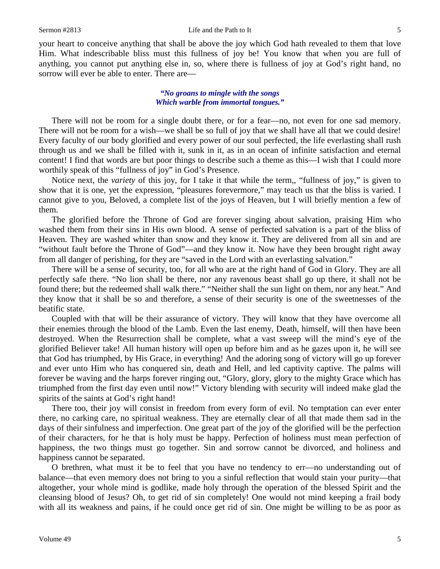your heart to conceive anything that shall be above the joy which God hath revealed to them that love Him. What indescribable bliss must this fullness of joy be! You know that when you are full of anything, you cannot put anything else in, so, where there is fullness of joy at God's right hand, no sorrow will ever be able to enter. There are—

### *"No groans to mingle with the songs Which warble from immortal tongues."*

There will not be room for a single doubt there, or for a fear—no, not even for one sad memory. There will not be room for a wish—we shall be so full of joy that we shall have all that we could desire! Every faculty of our body glorified and every power of our soul perfected, the life everlasting shall rush through us and we shall be filled with it, sunk in it, as in an ocean of infinite satisfaction and eternal content! I find that words are but poor things to describe such a theme as this—I wish that I could more worthily speak of this "fullness of joy" in God's Presence.

Notice next, the *variety* of this joy, for I take it that while the term,, "fullness of joy," is given to show that it is one, yet the expression, "pleasures forevermore," may teach us that the bliss is varied. I cannot give to you, Beloved, a complete list of the joys of Heaven, but I will briefly mention a few of them.

The glorified before the Throne of God are forever singing about salvation, praising Him who washed them from their sins in His own blood. A sense of perfected salvation is a part of the bliss of Heaven. They are washed whiter than snow and they know it. They are delivered from all sin and are "without fault before the Throne of God"—and they know it. Now have they been brought right away from all danger of perishing, for they are "saved in the Lord with an everlasting salvation."

There will be a sense of security, too, for all who are at the right hand of God in Glory. They are all perfectly safe there. "No lion shall be there, nor any ravenous beast shall go up there, it shall not be found there; but the redeemed shall walk there." "Neither shall the sun light on them, nor any heat." And they know that it shall be so and therefore, a sense of their security is one of the sweetnesses of the beatific state.

Coupled with that will be their assurance of victory. They will know that they have overcome all their enemies through the blood of the Lamb. Even the last enemy, Death, himself, will then have been destroyed. When the Resurrection shall be complete, what a vast sweep will the mind's eye of the glorified Believer take! All human history will open up before him and as he gazes upon it, he will see that God has triumphed, by His Grace, in everything! And the adoring song of victory will go up forever and ever unto Him who has conquered sin, death and Hell, and led captivity captive. The palms will forever be waving and the harps forever ringing out, "Glory, glory, glory to the mighty Grace which has triumphed from the first day even until now!" Victory blending with security will indeed make glad the spirits of the saints at God's right hand!

There too, their joy will consist in freedom from every form of evil. No temptation can ever enter there, no carking care, no spiritual weakness. They are eternally clear of all that made them sad in the days of their sinfulness and imperfection. One great part of the joy of the glorified will be the perfection of their characters, for he that is holy must be happy. Perfection of holiness must mean perfection of happiness, the two things must go together. Sin and sorrow cannot be divorced, and holiness and happiness cannot be separated.

O brethren, what must it be to feel that you have no tendency to err—no understanding out of balance—that even memory does not bring to you a sinful reflection that would stain your purity—that altogether, your whole mind is godlike, made holy through the operation of the blessed Spirit and the cleansing blood of Jesus? Oh, to get rid of sin completely! One would not mind keeping a frail body with all its weakness and pains, if he could once get rid of sin. One might be willing to be as poor as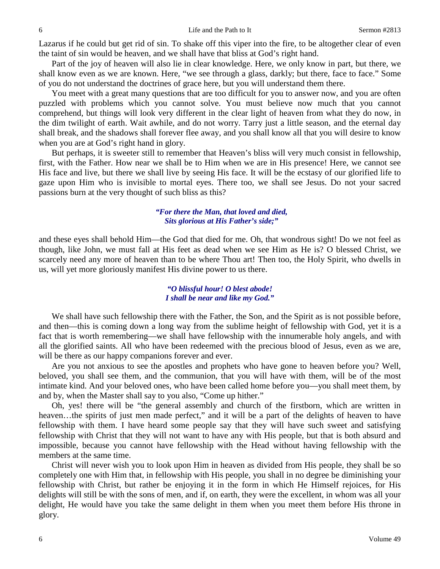Lazarus if he could but get rid of sin. To shake off this viper into the fire, to be altogether clear of even the taint of sin would be heaven, and we shall have that bliss at God's right hand.

Part of the joy of heaven will also lie in clear knowledge. Here, we only know in part, but there, we shall know even as we are known. Here, "we see through a glass, darkly; but there, face to face." Some of you do not understand the doctrines of grace here, but you will understand them there.

You meet with a great many questions that are too difficult for you to answer now, and you are often puzzled with problems which you cannot solve. You must believe now much that you cannot comprehend, but things will look very different in the clear light of heaven from what they do now, in the dim twilight of earth. Wait awhile, and do not worry. Tarry just a little season, and the eternal day shall break, and the shadows shall forever flee away, and you shall know all that you will desire to know when you are at God's right hand in glory.

But perhaps, it is sweeter still to remember that Heaven's bliss will very much consist in fellowship, first, with the Father. How near we shall be to Him when we are in His presence! Here, we cannot see His face and live, but there we shall live by seeing His face. It will be the ecstasy of our glorified life to gaze upon Him who is invisible to mortal eyes. There too, we shall see Jesus. Do not your sacred passions burn at the very thought of such bliss as this?

### *"For there the Man, that loved and died, Sits glorious at His Father's side;"*

and these eyes shall behold Him—the God that died for me. Oh, that wondrous sight! Do we not feel as though, like John, we must fall at His feet as dead when we see Him as He is? O blessed Christ, we scarcely need any more of heaven than to be where Thou art! Then too, the Holy Spirit, who dwells in us, will yet more gloriously manifest His divine power to us there.

### *"O blissful hour! O blest abode! I shall be near and like my God."*

We shall have such fellowship there with the Father, the Son, and the Spirit as is not possible before, and then—this is coming down a long way from the sublime height of fellowship with God, yet it is a fact that is worth remembering—we shall have fellowship with the innumerable holy angels, and with all the glorified saints. All who have been redeemed with the precious blood of Jesus, even as we are, will be there as our happy companions forever and ever.

Are you not anxious to see the apostles and prophets who have gone to heaven before you? Well, beloved, you shall see them, and the communion, that you will have with them, will be of the most intimate kind. And your beloved ones, who have been called home before you—you shall meet them, by and by, when the Master shall say to you also, "Come up hither."

Oh, yes! there will be "the general assembly and church of the firstborn, which are written in heaven...the spirits of just men made perfect," and it will be a part of the delights of heaven to have fellowship with them. I have heard some people say that they will have such sweet and satisfying fellowship with Christ that they will not want to have any with His people, but that is both absurd and impossible, because you cannot have fellowship with the Head without having fellowship with the members at the same time.

Christ will never wish you to look upon Him in heaven as divided from His people, they shall be so completely one with Him that, in fellowship with His people, you shall in no degree be diminishing your fellowship with Christ, but rather be enjoying it in the form in which He Himself rejoices, for His delights will still be with the sons of men, and if, on earth, they were the excellent, in whom was all your delight, He would have you take the same delight in them when you meet them before His throne in glory.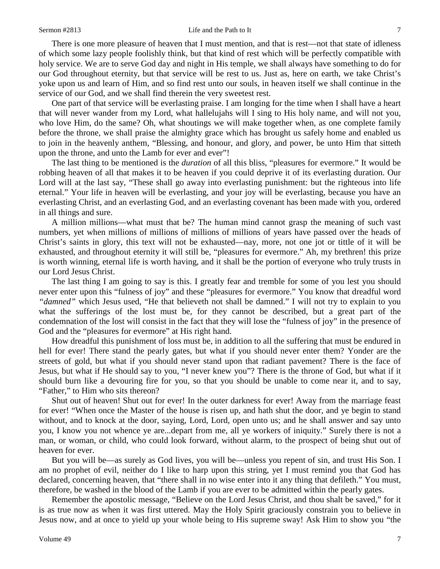#### Sermon #2813 Life and the Path to It 7

There is one more pleasure of heaven that I must mention, and that is rest—not that state of idleness of which some lazy people foolishly think, but that kind of rest which will be perfectly compatible with holy service. We are to serve God day and night in His temple, we shall always have something to do for our God throughout eternity, but that service will be rest to us. Just as, here on earth, we take Christ's yoke upon us and learn of Him, and so find rest unto our souls, in heaven itself we shall continue in the service of our God, and we shall find therein the very sweetest rest.

One part of that service will be everlasting praise. I am longing for the time when I shall have a heart that will never wander from my Lord, what hallelujahs will I sing to His holy name, and will not you, who love Him, do the same? Oh, what shoutings we will make together when, as one complete family before the throne, we shall praise the almighty grace which has brought us safely home and enabled us to join in the heavenly anthem, "Blessing, and honour, and glory, and power, be unto Him that sitteth upon the throne, and unto the Lamb for ever and ever"!

The last thing to be mentioned is the *duration* of all this bliss, "pleasures for evermore." It would be robbing heaven of all that makes it to be heaven if you could deprive it of its everlasting duration. Our Lord will at the last say, "These shall go away into everlasting punishment: but the righteous into life eternal." Your life in heaven will be everlasting, and your joy will be everlasting, because you have an everlasting Christ, and an everlasting God, and an everlasting covenant has been made with you, ordered in all things and sure.

A million millions—what must that be? The human mind cannot grasp the meaning of such vast numbers, yet when millions of millions of millions of millions of years have passed over the heads of Christ's saints in glory, this text will not be exhausted—nay, more, not one jot or tittle of it will be exhausted, and throughout eternity it will still be, "pleasures for evermore." Ah, my brethren! this prize is worth winning, eternal life is worth having, and it shall be the portion of everyone who truly trusts in our Lord Jesus Christ.

The last thing I am going to say is this. I greatly fear and tremble for some of you lest you should never enter upon this "fulness of joy" and these "pleasures for evermore." You know that dreadful word *"damned"* which Jesus used, "He that believeth not shall be damned." I will not try to explain to you what the sufferings of the lost must be, for they cannot be described, but a great part of the condemnation of the lost will consist in the fact that they will lose the "fulness of joy" in the presence of God and the "pleasures for evermore" at His right hand.

How dreadful this punishment of loss must be, in addition to all the suffering that must be endured in hell for ever! There stand the pearly gates, but what if you should never enter them? Yonder are the streets of gold, but what if you should never stand upon that radiant pavement? There is the face of Jesus, but what if He should say to you, "I never knew you"? There is the throne of God, but what if it should burn like a devouring fire for you, so that you should be unable to come near it, and to say, "Father," to Him who sits thereon?

Shut out of heaven! Shut out for ever! In the outer darkness for ever! Away from the marriage feast for ever! "When once the Master of the house is risen up, and hath shut the door, and ye begin to stand without, and to knock at the door, saying, Lord, Lord, open unto us; and he shall answer and say unto you, I know you not whence ye are...depart from me, all ye workers of iniquity." Surely there is not a man, or woman, or child, who could look forward, without alarm, to the prospect of being shut out of heaven for ever.

But you will be—as surely as God lives, you will be—unless you repent of sin, and trust His Son. I am no prophet of evil, neither do I like to harp upon this string, yet I must remind you that God has declared, concerning heaven, that "there shall in no wise enter into it any thing that defileth." You must, therefore, be washed in the blood of the Lamb if you are ever to be admitted within the pearly gates.

Remember the apostolic message, "Believe on the Lord Jesus Christ, and thou shalt be saved," for it is as true now as when it was first uttered. May the Holy Spirit graciously constrain you to believe in Jesus now, and at once to yield up your whole being to His supreme sway! Ask Him to show you "the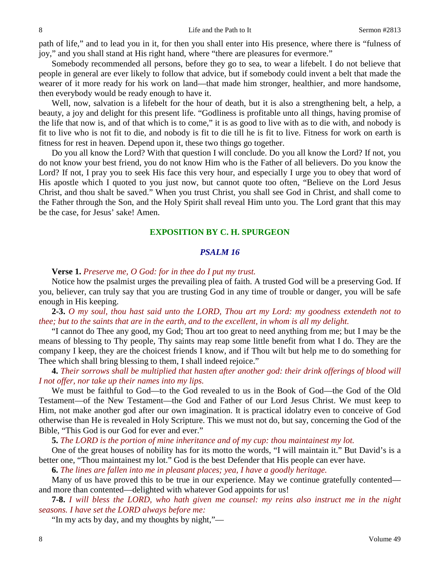path of life," and to lead you in it, for then you shall enter into His presence, where there is "fulness of joy," and you shall stand at His right hand, where "there are pleasures for evermore."

Somebody recommended all persons, before they go to sea, to wear a lifebelt. I do not believe that people in general are ever likely to follow that advice, but if somebody could invent a belt that made the wearer of it more ready for his work on land—that made him stronger, healthier, and more handsome, then everybody would be ready enough to have it.

Well, now, salvation is a lifebelt for the hour of death, but it is also a strengthening belt, a help, a beauty, a joy and delight for this present life. "Godliness is profitable unto all things, having promise of the life that now is, and of that which is to come," it is as good to live with as to die with, and nobody is fit to live who is not fit to die, and nobody is fit to die till he is fit to live. Fitness for work on earth is fitness for rest in heaven. Depend upon it, these two things go together.

Do you all know the Lord? With that question I will conclude. Do you all know the Lord? If not, you do not know your best friend, you do not know Him who is the Father of all believers. Do you know the Lord? If not, I pray you to seek His face this very hour, and especially I urge you to obey that word of His apostle which I quoted to you just now, but cannot quote too often, "Believe on the Lord Jesus Christ, and thou shalt be saved." When you trust Christ, you shall see God in Christ, and shall come to the Father through the Son, and the Holy Spirit shall reveal Him unto you. The Lord grant that this may be the case, for Jesus' sake! Amen.

### **EXPOSITION BY C. H. SPURGEON**

### *PSALM 16*

**Verse 1.** *Preserve me, O God: for in thee do I put my trust.*

Notice how the psalmist urges the prevailing plea of faith. A trusted God will be a preserving God. If you, believer, can truly say that you are trusting God in any time of trouble or danger, you will be safe enough in His keeping.

**2-3.** *O my soul, thou hast said unto the LORD, Thou art my Lord: my goodness extendeth not to thee; but to the saints that are in the earth, and to the excellent, in whom is all my delight.*

"I cannot do Thee any good, my God; Thou art too great to need anything from me; but I may be the means of blessing to Thy people, Thy saints may reap some little benefit from what I do. They are the company I keep, they are the choicest friends I know, and if Thou wilt but help me to do something for Thee which shall bring blessing to them, I shall indeed rejoice."

**4.** *Their sorrows shall be multiplied that hasten after another god: their drink offerings of blood will I not offer, nor take up their names into my lips.*

We must be faithful to God—to the God revealed to us in the Book of God—the God of the Old Testament—of the New Testament—the God and Father of our Lord Jesus Christ. We must keep to Him, not make another god after our own imagination. It is practical idolatry even to conceive of God otherwise than He is revealed in Holy Scripture. This we must not do, but say, concerning the God of the Bible, "This God is our God for ever and ever."

**5.** *The LORD is the portion of mine inheritance and of my cup: thou maintainest my lot.*

One of the great houses of nobility has for its motto the words, "I will maintain it." But David's is a better one, "Thou maintainest my lot." God is the best Defender that His people can ever have.

**6.** *The lines are fallen into me in pleasant places; yea, I have a goodly heritage.*

Many of us have proved this to be true in our experience. May we continue gratefully contented and more than contented—delighted with whatever God appoints for us!

**7-8.** *I will bless the LORD, who hath given me counsel: my reins also instruct me in the night seasons. I have set the LORD always before me:*

"In my acts by day, and my thoughts by night,"—